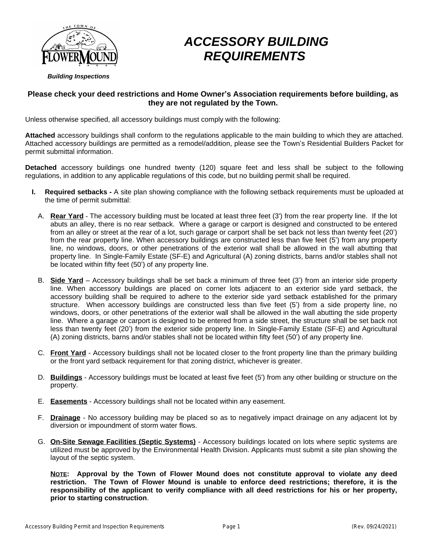

# *ACCESSORY BUILDING REQUIREMENTS*

# **Please check your deed restrictions and Home Owner's Association requirements before building, as they are not regulated by the Town.**

Unless otherwise specified, all accessory buildings must comply with the following:

**Attached** accessory buildings shall conform to the regulations applicable to the main building to which they are attached. Attached accessory buildings are permitted as a remodel/addition, please see the Town's Residential Builders Packet for permit submittal information.

**Detached** accessory buildings one hundred twenty (120) square feet and less shall be subject to the following regulations, in addition to any applicable regulations of this code, but no building permit shall be required.

- **I. Required setbacks -** A site plan showing compliance with the following setback requirements must be uploaded at the time of permit submittal:
	- A. **Rear Yard** The accessory building must be located at least three feet (3') from the rear property line. If the lot abuts an alley, there is no rear setback. Where a garage or carport is designed and constructed to be entered from an alley or street at the rear of a lot, such garage or carport shall be set back not less than twenty feet (20') from the rear property line. When accessory buildings are constructed less than five feet (5') from any property line, no windows, doors, or other penetrations of the exterior wall shall be allowed in the wall abutting that property line. In Single-Family Estate (SF-E) and Agricultural (A) zoning districts, barns and/or stables shall not be located within fifty feet (50') of any property line.
	- B. **Side Yard** Accessory buildings shall be set back a minimum of three feet (3') from an interior side property line. When accessory buildings are placed on corner lots adjacent to an exterior side yard setback, the accessory building shall be required to adhere to the exterior side yard setback established for the primary structure. When accessory buildings are constructed less than five feet (5') from a side property line, no windows, doors, or other penetrations of the exterior wall shall be allowed in the wall abutting the side property line. Where a garage or carport is designed to be entered from a side street, the structure shall be set back not less than twenty feet (20') from the exterior side property line. In Single-Family Estate (SF-E) and Agricultural (A) zoning districts, barns and/or stables shall not be located within fifty feet (50') of any property line.
	- C. **Front Yard** Accessory buildings shall not be located closer to the front property line than the primary building or the front yard setback requirement for that zoning district, whichever is greater.
	- D. **Buildings** Accessory buildings must be located at least five feet (5') from any other building or structure on the property.
	- E. **Easements** Accessory buildings shall not be located within any easement.
	- F. **Drainage** No accessory building may be placed so as to negatively impact drainage on any adjacent lot by diversion or impoundment of storm water flows.
	- G. **On-Site Sewage Facilities (Septic Systems)** Accessory buildings located on lots where septic systems are utilized must be approved by the Environmental Health Division. Applicants must submit a site plan showing the layout of the septic system.

**NOTE: Approval by the Town of Flower Mound does not constitute approval to violate any deed restriction. The Town of Flower Mound is unable to enforce deed restrictions; therefore, it is the responsibility of the applicant to verify compliance with all deed restrictions for his or her property, prior to starting construction**.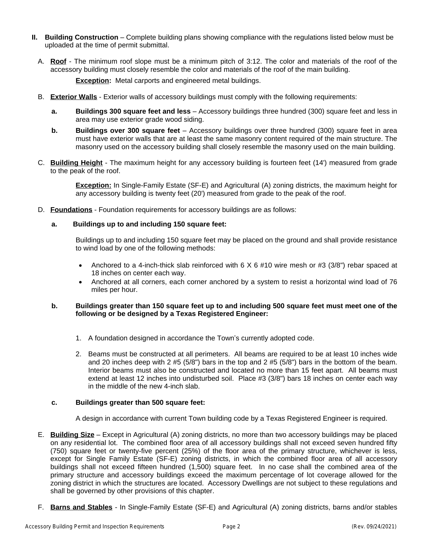- **II. Building Construction** Complete building plans showing compliance with the regulations listed below must be uploaded at the time of permit submittal.
	- A. **Roof** The minimum roof slope must be a minimum pitch of 3:12. The color and materials of the roof of the accessory building must closely resemble the color and materials of the roof of the main building.

**Exception:** Metal carports and engineered metal buildings.

- B. **Exterior Walls** Exterior walls of accessory buildings must comply with the following requirements:
	- **a. Buildings 300 square feet and less** Accessory buildings three hundred (300) square feet and less in area may use exterior grade wood siding.
	- **b. Buildings over 300 square feet** Accessory buildings over three hundred (300) square feet in area must have exterior walls that are at least the same masonry content required of the main structure. The masonry used on the accessory building shall closely resemble the masonry used on the main building.
- C. **Building Height** The maximum height for any accessory building is fourteen feet (14') measured from grade to the peak of the roof.

**Exception:** In Single-Family Estate (SF-E) and Agricultural (A) zoning districts, the maximum height for any accessory building is twenty feet (20') measured from grade to the peak of the roof.

D. **Foundations** - Foundation requirements for accessory buildings are as follows:

## **a. Buildings up to and including 150 square feet:**

Buildings up to and including 150 square feet may be placed on the ground and shall provide resistance to wind load by one of the following methods:

- Anchored to a 4-inch-thick slab reinforced with  $6 \times 6$  #10 wire mesh or #3 (3/8") rebar spaced at 18 inches on center each way.
- Anchored at all corners, each corner anchored by a system to resist a horizontal wind load of 76 miles per hour.

## b. Buildings greater than 150 square feet up to and including 500 square feet must meet one of the **following or be designed by a Texas Registered Engineer:**

- 1. A foundation designed in accordance the Town's currently adopted code.
- 2. Beams must be constructed at all perimeters. All beams are required to be at least 10 inches wide and 20 inches deep with 2 #5 (5/8") bars in the top and 2 #5 (5/8") bars in the bottom of the beam. Interior beams must also be constructed and located no more than 15 feet apart. All beams must extend at least 12 inches into undisturbed soil. Place #3 (3/8") bars 18 inches on center each way in the middle of the new 4-inch slab.

## **c. Buildings greater than 500 square feet:**

A design in accordance with current Town building code by a Texas Registered Engineer is required.

- E. **Building Size** Except in Agricultural (A) zoning districts, no more than two accessory buildings may be placed on any residential lot. The combined floor area of all accessory buildings shall not exceed seven hundred fifty (750) square feet or twenty-five percent (25%) of the floor area of the primary structure, whichever is less, except for Single Family Estate (SF-E) zoning districts, in which the combined floor area of all accessory buildings shall not exceed fifteen hundred (1,500) square feet. In no case shall the combined area of the primary structure and accessory buildings exceed the maximum percentage of lot coverage allowed for the zoning district in which the structures are located. Accessory Dwellings are not subject to these regulations and shall be governed by other provisions of this chapter.
- F. **Barns and Stables** In Single-Family Estate (SF-E) and Agricultural (A) zoning districts, barns and/or stables